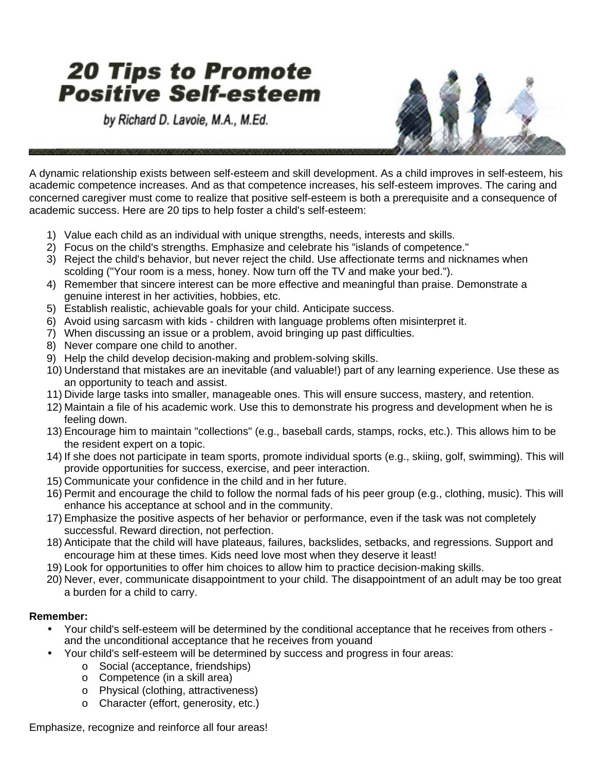## **20 Tips to Promote Positive Self-esteem**

by Richard D. Lavoie, M.A., M.Ed.



A dynamic relationship exists between self-esteem and skill development. As a child improves in self-esteem, his academic competence increases. And as that competence increases, his self-esteem improves. The caring and concerned caregiver must come to realize that positive self-esteem is both a prerequisite and a consequence of academic success. Here are 20 tips to help foster a child's self-esteem:

- 1) Value each child as an individual with unique strengths, needs, interests and skills.
- 2) Focus on the child's strengths. Emphasize and celebrate his "islands of competence."
- 3) Reject the child's behavior, but never reject the child. Use affectionate terms and nicknames when scolding ("Your room is a mess, honey. Now turn off the TV and make your bed.").
- 4) Remember that sincere interest can be more effective and meaningful than praise. Demonstrate a genuine interest in her activities, hobbies, etc.
- 5) Establish realistic, achievable goals for your child. Anticipate success.
- 6) Avoid using sarcasm with kids children with language problems often misinterpret it.
- 7) When discussing an issue or a problem, avoid bringing up past difficulties.
- 8) Never compare one child to another.
- 9) Help the child develop decision-making and problem-solving skills.
- 10) Understand that mistakes are an inevitable (and valuable!) part of any learning experience. Use these as an opportunity to teach and assist.
- 11) Divide large tasks into smaller, manageable ones. This will ensure success, mastery, and retention.
- 12) Maintain a file of his academic work. Use this to demonstrate his progress and development when he is feeling down.
- 13) Encourage him to maintain "collections" (e.g., baseball cards, stamps, rocks, etc.). This allows him to be the resident expert on a topic.
- 14) If she does not participate in team sports, promote individual sports (e.g., skiing, golf, swimming). This will provide opportunities for success, exercise, and peer interaction.
- 15) Communicate your confidence in the child and in her future.
- 16) Permit and encourage the child to follow the normal fads of his peer group (e.g., clothing, music). This will enhance his acceptance at school and in the community.
- 17) Emphasize the positive aspects of her behavior or performance, even if the task was not completely successful. Reward direction, not perfection.
- 18) Anticipate that the child will have plateaus, failures, backslides, setbacks, and regressions. Support and encourage him at these times. Kids need love most when they deserve it least!
- 19) Look for opportunities to offer him choices to allow him to practice decision-making skills.
- 20) Never, ever, communicate disappointment to your child. The disappointment of an adult may be too great a burden for a child to carry.

## **Remember:**

- Your child's self-esteem will be determined by the conditional acceptance that he receives from others and the unconditional acceptance that he receives from you and
- Your child's self-esteem will be determined by success and progress in four areas:
	- o Social (acceptance, friendships)
	- o Competence (in a skill area)
	- o Physical (clothing, attractiveness)
	- o Character (effort, generosity, etc.)

Emphasize, recognize and reinforce all four areas!